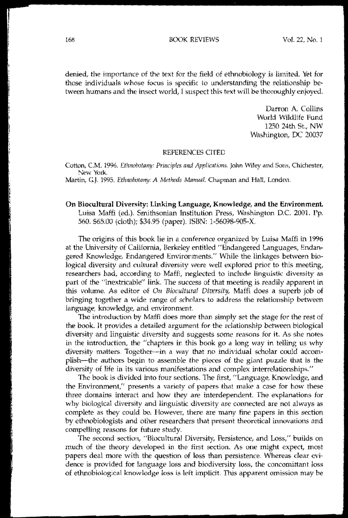denied, the importance of the text for the field of ethnobiology is limited. Yet for those individuals whose focus is specific to understanding the relationship be~ tween humans and the insect world, I suspect this text will be thoroughly enjoyed.

> Darron A. Collins World WIldlife Fund 1250 24th St., NW Washington, DC 20037

## REFERENCES ClTED

Cotton, C.M. 1996. *Ethnobotany: Principles and Applications*. John Wiley and Sons, Chichester, New York.

Martin, G.J. 1995. *Ethnobotany: A Methods Manual*. Chapman and Hall, London.

On Bio(ultural Diversity: Linking Language, Knowledge, **and** the Environment. Luisa Maffi (ed.). Smithsonian Institution Press, Washington D.C. 2001. Pp. 560, \$65,00 (doth); \$34.95 (paper). ISBN: 1-56098-905-x'

The origins of this book lie in a conference organized by Luisa Maffi in 1996 at the University of California, Berkeley entitled "Endangered Languages, Endangered Knowledge, Endangered Environments:' While the linkages between biological diversity and cultural diversity were well explored prior to this meeting, researchers had, according to Maffi, neglected to include linguistic diversity as part of the "inextricable" link. The success of that meeting is readily apparent in this volume. As editor of *On Biocultural Diversity*, Maffi does a superb job of bringing together a wide range of scholars to address the relationship between language, knowledge, and environment.

The introduction by Maffi does more than simply set the stage for the rest of the book. It provides a detailed argument for the relationship between biological diversity and linguistic diversity and suggests some reasons for it. As she notes in the introduction, the "chapters in this book go a long way in telling us why diversity matters. Together--in a way that no individual scholar could accomplish-the authors begin to assemble the pieces of the giant puzzle that is the diversity of life in its various manifestations and complex interrelationships."

The book is divided into four sections. The first, "Language, Knowledge, and the Environment," presents a variety of papers that make a case for how these three domains interact and how they are interdependent. The explanations for why biological diversity and linguistic diversity are connected are not always as complete as they could be. However, there are many fine papers in this section by ethnobiologists and other researchers that present theoretical innovations and compelling reasons for future study.

The second section, "Biocultural Diversity, Persistence, and Loss," builds on much of the theory developed in the first section. As one might expect, most papers deal more with the question of loss than persistence. Whereas dear evidence is provided for language loss and biodiversity loss, the concomittant loss of ethnobiological knowledge loss is left implicit. 'This apparent omission may be